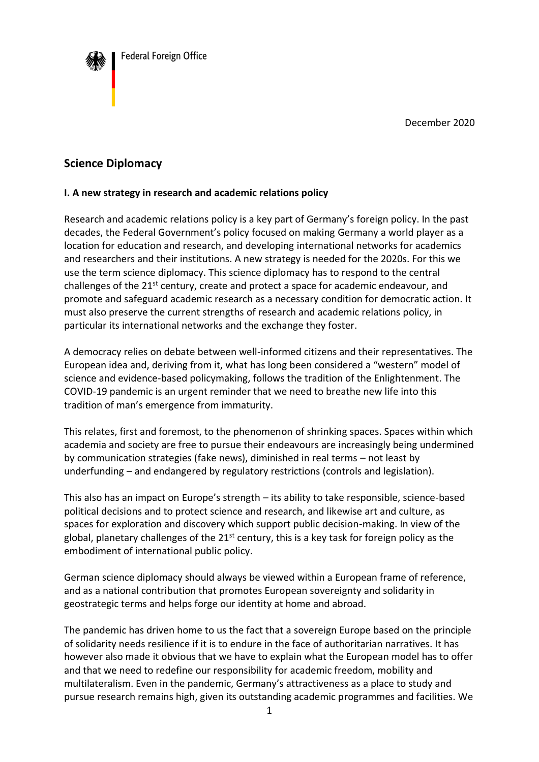

December 2020

## **Science Diplomacy**

## **I. A new strategy in research and academic relations policy**

Research and academic relations policy is a key part of Germany's foreign policy. In the past decades, the Federal Government's policy focused on making Germany a world player as a location for education and research, and developing international networks for academics and researchers and their institutions. A new strategy is needed for the 2020s. For this we use the term science diplomacy. This science diplomacy has to respond to the central challenges of the 21<sup>st</sup> century, create and protect a space for academic endeavour, and promote and safeguard academic research as a necessary condition for democratic action. It must also preserve the current strengths of research and academic relations policy, in particular its international networks and the exchange they foster.

A democracy relies on debate between well-informed citizens and their representatives. The European idea and, deriving from it, what has long been considered a "western" model of science and evidence-based policymaking, follows the tradition of the Enlightenment. The COVID-19 pandemic is an urgent reminder that we need to breathe new life into this tradition of man's emergence from immaturity.

This relates, first and foremost, to the phenomenon of shrinking spaces. Spaces within which academia and society are free to pursue their endeavours are increasingly being undermined by communication strategies (fake news), diminished in real terms – not least by underfunding – and endangered by regulatory restrictions (controls and legislation).

This also has an impact on Europe's strength – its ability to take responsible, science-based political decisions and to protect science and research, and likewise art and culture, as spaces for exploration and discovery which support public decision-making. In view of the global, planetary challenges of the  $21^{st}$  century, this is a key task for foreign policy as the embodiment of international public policy.

German science diplomacy should always be viewed within a European frame of reference, and as a national contribution that promotes European sovereignty and solidarity in geostrategic terms and helps forge our identity at home and abroad.

The pandemic has driven home to us the fact that a sovereign Europe based on the principle of solidarity needs resilience if it is to endure in the face of authoritarian narratives. It has however also made it obvious that we have to explain what the European model has to offer and that we need to redefine our responsibility for academic freedom, mobility and multilateralism. Even in the pandemic, Germany's attractiveness as a place to study and pursue research remains high, given its outstanding academic programmes and facilities. We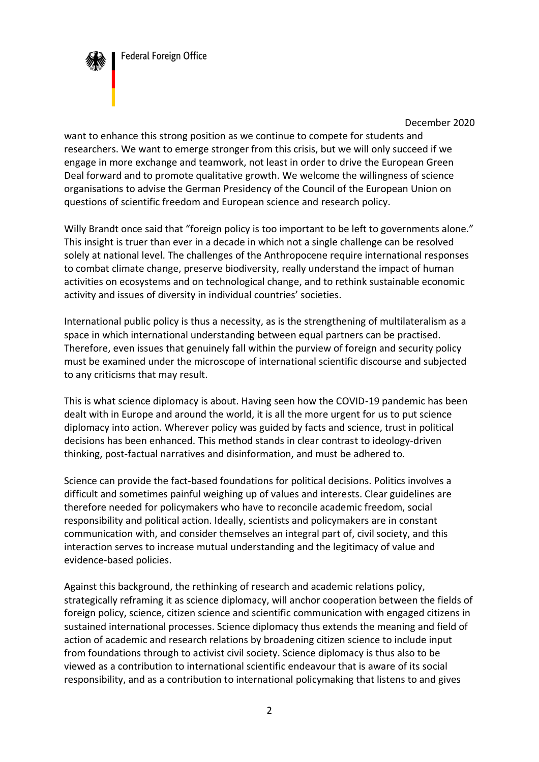

December 2020

want to enhance this strong position as we continue to compete for students and researchers. We want to emerge stronger from this crisis, but we will only succeed if we engage in more exchange and teamwork, not least in order to drive the European Green Deal forward and to promote qualitative growth. We welcome the willingness of science organisations to advise the German Presidency of the Council of the European Union on questions of scientific freedom and European science and research policy.

Willy Brandt once said that "foreign policy is too important to be left to governments alone." This insight is truer than ever in a decade in which not a single challenge can be resolved solely at national level. The challenges of the Anthropocene require international responses to combat climate change, preserve biodiversity, really understand the impact of human activities on ecosystems and on technological change, and to rethink sustainable economic activity and issues of diversity in individual countries' societies.

International public policy is thus a necessity, as is the strengthening of multilateralism as a space in which international understanding between equal partners can be practised. Therefore, even issues that genuinely fall within the purview of foreign and security policy must be examined under the microscope of international scientific discourse and subjected to any criticisms that may result.

This is what science diplomacy is about. Having seen how the COVID-19 pandemic has been dealt with in Europe and around the world, it is all the more urgent for us to put science diplomacy into action. Wherever policy was guided by facts and science, trust in political decisions has been enhanced. This method stands in clear contrast to ideology-driven thinking, post-factual narratives and disinformation, and must be adhered to.

Science can provide the fact-based foundations for political decisions. Politics involves a difficult and sometimes painful weighing up of values and interests. Clear guidelines are therefore needed for policymakers who have to reconcile academic freedom, social responsibility and political action. Ideally, scientists and policymakers are in constant communication with, and consider themselves an integral part of, civil society, and this interaction serves to increase mutual understanding and the legitimacy of value and evidence-based policies.

Against this background, the rethinking of research and academic relations policy, strategically reframing it as science diplomacy, will anchor cooperation between the fields of foreign policy, science, citizen science and scientific communication with engaged citizens in sustained international processes. Science diplomacy thus extends the meaning and field of action of academic and research relations by broadening citizen science to include input from foundations through to activist civil society. Science diplomacy is thus also to be viewed as a contribution to international scientific endeavour that is aware of its social responsibility, and as a contribution to international policymaking that listens to and gives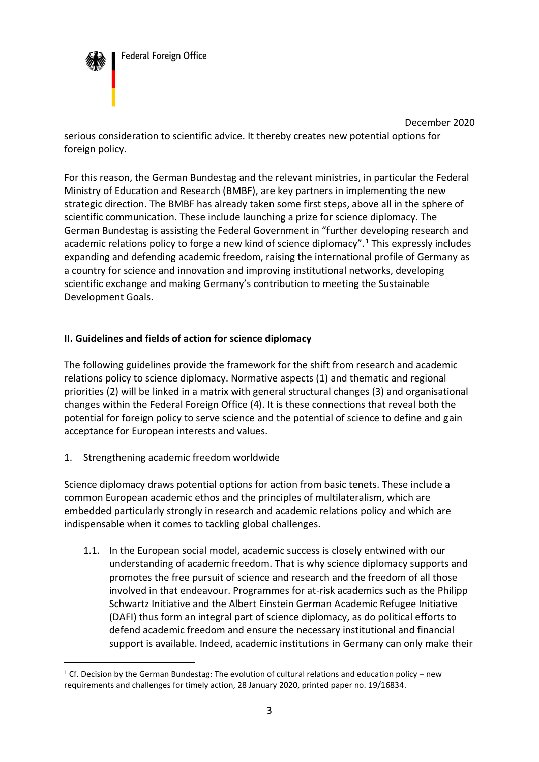

December 2020 serious consideration to scientific advice. It thereby creates new potential options for foreign policy.

For this reason, the German Bundestag and the relevant ministries, in particular the Federal Ministry of Education and Research (BMBF), are key partners in implementing the new strategic direction. The BMBF has already taken some first steps, above all in the sphere of scientific communication. These include launching a prize for science diplomacy. The German Bundestag is assisting the Federal Government in "further developing research and academic relations policy to forge a new kind of science diplomacy".<sup>1</sup> This expressly includes expanding and defending academic freedom, raising the international profile of Germany as a country for science and innovation and improving institutional networks, developing scientific exchange and making Germany's contribution to meeting the Sustainable Development Goals.

## **II. Guidelines and fields of action for science diplomacy**

The following guidelines provide the framework for the shift from research and academic relations policy to science diplomacy. Normative aspects (1) and thematic and regional priorities (2) will be linked in a matrix with general structural changes (3) and organisational changes within the Federal Foreign Office (4). It is these connections that reveal both the potential for foreign policy to serve science and the potential of science to define and gain acceptance for European interests and values.

1. Strengthening academic freedom worldwide

Science diplomacy draws potential options for action from basic tenets. These include a common European academic ethos and the principles of multilateralism, which are embedded particularly strongly in research and academic relations policy and which are indispensable when it comes to tackling global challenges.

1.1. In the European social model, academic success is closely entwined with our understanding of academic freedom. That is why science diplomacy supports and promotes the free pursuit of science and research and the freedom of all those involved in that endeavour. Programmes for at-risk academics such as the Philipp Schwartz Initiative and the Albert Einstein German Academic Refugee Initiative (DAFI) thus form an integral part of science diplomacy, as do political efforts to defend academic freedom and ensure the necessary institutional and financial support is available. Indeed, academic institutions in Germany can only make their

<sup>&</sup>lt;sup>1</sup> Cf. Decision by the German Bundestag: The evolution of cultural relations and education policy – new requirements and challenges for timely action, 28 January 2020, printed paper no. 19/16834.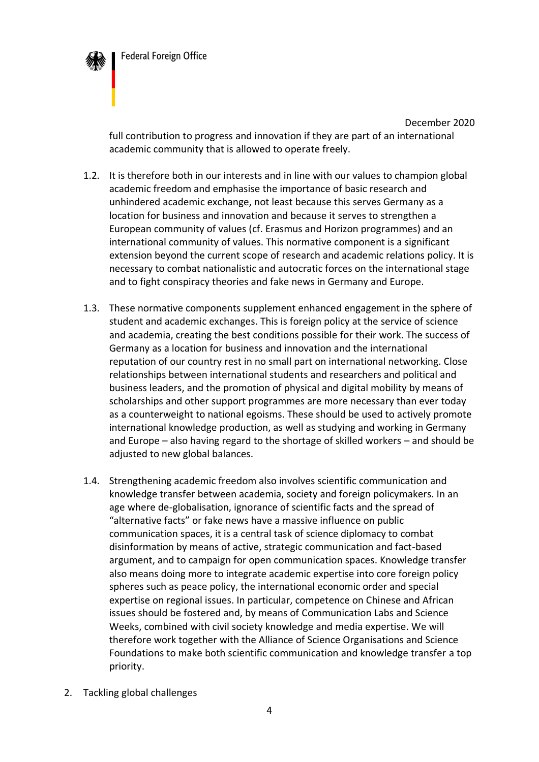

December 2020 full contribution to progress and innovation if they are part of an international academic community that is allowed to operate freely.

- 1.2. It is therefore both in our interests and in line with our values to champion global academic freedom and emphasise the importance of basic research and unhindered academic exchange, not least because this serves Germany as a location for business and innovation and because it serves to strengthen a European community of values (cf. Erasmus and Horizon programmes) and an international community of values. This normative component is a significant extension beyond the current scope of research and academic relations policy. It is necessary to combat nationalistic and autocratic forces on the international stage and to fight conspiracy theories and fake news in Germany and Europe.
- 1.3. These normative components supplement enhanced engagement in the sphere of student and academic exchanges. This is foreign policy at the service of science and academia, creating the best conditions possible for their work. The success of Germany as a location for business and innovation and the international reputation of our country rest in no small part on international networking. Close relationships between international students and researchers and political and business leaders, and the promotion of physical and digital mobility by means of scholarships and other support programmes are more necessary than ever today as a counterweight to national egoisms. These should be used to actively promote international knowledge production, as well as studying and working in Germany and Europe – also having regard to the shortage of skilled workers – and should be adjusted to new global balances.
- 1.4. Strengthening academic freedom also involves scientific communication and knowledge transfer between academia, society and foreign policymakers. In an age where de-globalisation, ignorance of scientific facts and the spread of "alternative facts" or fake news have a massive influence on public communication spaces, it is a central task of science diplomacy to combat disinformation by means of active, strategic communication and fact-based argument, and to campaign for open communication spaces. Knowledge transfer also means doing more to integrate academic expertise into core foreign policy spheres such as peace policy, the international economic order and special expertise on regional issues. In particular, competence on Chinese and African issues should be fostered and, by means of Communication Labs and Science Weeks, combined with civil society knowledge and media expertise. We will therefore work together with the Alliance of Science Organisations and Science Foundations to make both scientific communication and knowledge transfer a top priority.
- 2. Tackling global challenges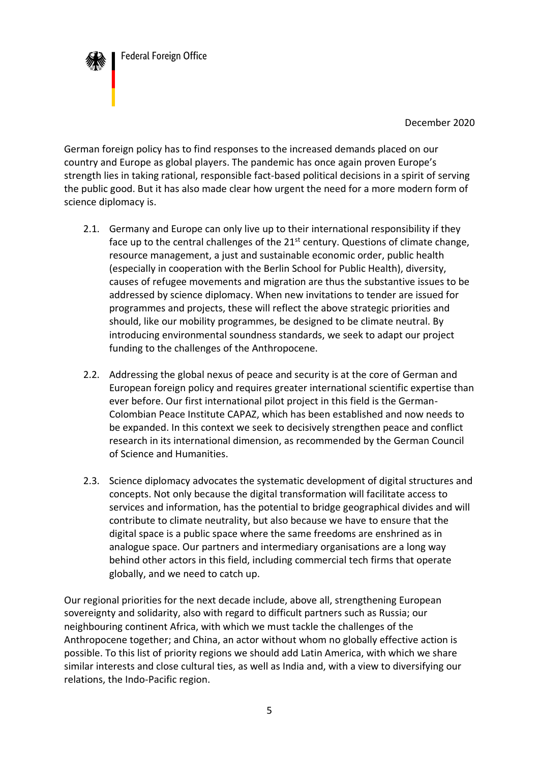**Federal Foreign Office** 

December 2020

German foreign policy has to find responses to the increased demands placed on our country and Europe as global players. The pandemic has once again proven Europe's strength lies in taking rational, responsible fact-based political decisions in a spirit of serving the public good. But it has also made clear how urgent the need for a more modern form of science diplomacy is.

- 2.1. Germany and Europe can only live up to their international responsibility if they face up to the central challenges of the 21<sup>st</sup> century. Questions of climate change, resource management, a just and sustainable economic order, public health (especially in cooperation with the Berlin School for Public Health), diversity, causes of refugee movements and migration are thus the substantive issues to be addressed by science diplomacy. When new invitations to tender are issued for programmes and projects, these will reflect the above strategic priorities and should, like our mobility programmes, be designed to be climate neutral. By introducing environmental soundness standards, we seek to adapt our project funding to the challenges of the Anthropocene.
- 2.2. Addressing the global nexus of peace and security is at the core of German and European foreign policy and requires greater international scientific expertise than ever before. Our first international pilot project in this field is the German-Colombian Peace Institute CAPAZ, which has been established and now needs to be expanded. In this context we seek to decisively strengthen peace and conflict research in its international dimension, as recommended by the German Council of Science and Humanities.
- 2.3. Science diplomacy advocates the systematic development of digital structures and concepts. Not only because the digital transformation will facilitate access to services and information, has the potential to bridge geographical divides and will contribute to climate neutrality, but also because we have to ensure that the digital space is a public space where the same freedoms are enshrined as in analogue space. Our partners and intermediary organisations are a long way behind other actors in this field, including commercial tech firms that operate globally, and we need to catch up.

Our regional priorities for the next decade include, above all, strengthening European sovereignty and solidarity, also with regard to difficult partners such as Russia; our neighbouring continent Africa, with which we must tackle the challenges of the Anthropocene together; and China, an actor without whom no globally effective action is possible. To this list of priority regions we should add Latin America, with which we share similar interests and close cultural ties, as well as India and, with a view to diversifying our relations, the Indo-Pacific region.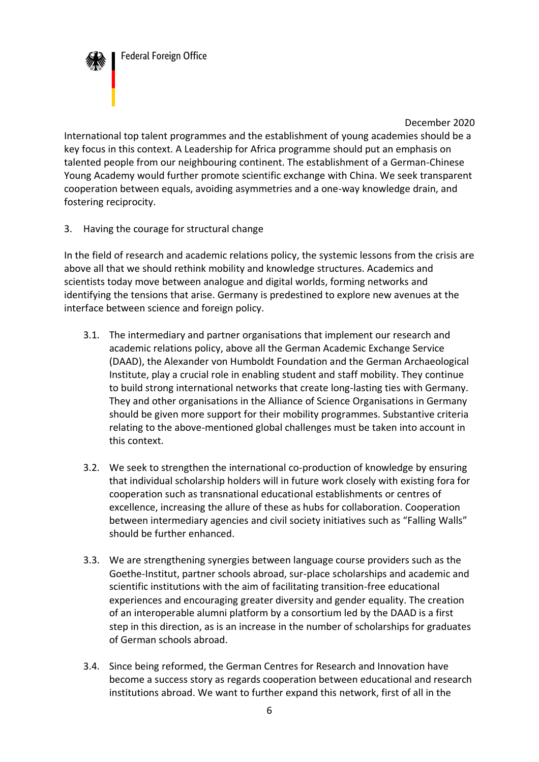**Federal Foreign Office** 

December 2020

International top talent programmes and the establishment of young academies should be a key focus in this context. A Leadership for Africa programme should put an emphasis on talented people from our neighbouring continent. The establishment of a German-Chinese Young Academy would further promote scientific exchange with China. We seek transparent cooperation between equals, avoiding asymmetries and a one-way knowledge drain, and fostering reciprocity.

3. Having the courage for structural change

In the field of research and academic relations policy, the systemic lessons from the crisis are above all that we should rethink mobility and knowledge structures. Academics and scientists today move between analogue and digital worlds, forming networks and identifying the tensions that arise. Germany is predestined to explore new avenues at the interface between science and foreign policy.

- 3.1. The intermediary and partner organisations that implement our research and academic relations policy, above all the German Academic Exchange Service (DAAD), the Alexander von Humboldt Foundation and the German Archaeological Institute, play a crucial role in enabling student and staff mobility. They continue to build strong international networks that create long-lasting ties with Germany. They and other organisations in the Alliance of Science Organisations in Germany should be given more support for their mobility programmes. Substantive criteria relating to the above-mentioned global challenges must be taken into account in this context.
- 3.2. We seek to strengthen the international co-production of knowledge by ensuring that individual scholarship holders will in future work closely with existing fora for cooperation such as transnational educational establishments or centres of excellence, increasing the allure of these as hubs for collaboration. Cooperation between intermediary agencies and civil society initiatives such as "Falling Walls" should be further enhanced.
- 3.3. We are strengthening synergies between language course providers such as the Goethe-Institut, partner schools abroad, sur-place scholarships and academic and scientific institutions with the aim of facilitating transition-free educational experiences and encouraging greater diversity and gender equality. The creation of an interoperable alumni platform by a consortium led by the DAAD is a first step in this direction, as is an increase in the number of scholarships for graduates of German schools abroad.
- 3.4. Since being reformed, the German Centres for Research and Innovation have become a success story as regards cooperation between educational and research institutions abroad. We want to further expand this network, first of all in the